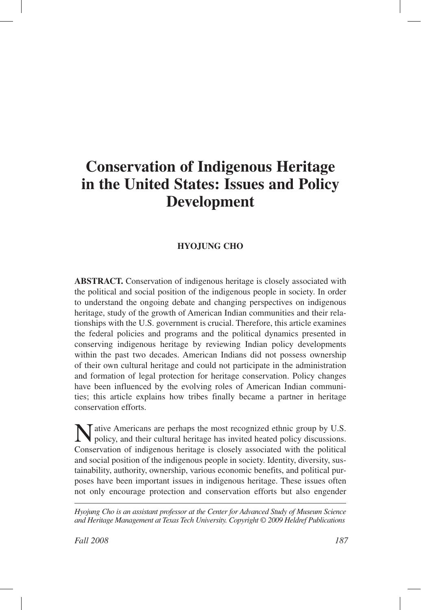## **Conservation of Indigenous Heritage in the United States: Issues and Policy Development**

#### **HYOJUNG CHO**

**ABSTRACT.** Conservation of indigenous heritage is closely associated with the political and social position of the indigenous people in society. In order to understand the ongoing debate and changing perspectives on indigenous heritage, study of the growth of American Indian communities and their relationships with the U.S. government is crucial. Therefore, this article examines the federal policies and programs and the political dynamics presented in conserving indigenous heritage by reviewing Indian policy developments within the past two decades. American Indians did not possess ownership of their own cultural heritage and could not participate in the administration and formation of legal protection for heritage conservation. Policy changes have been influenced by the evolving roles of American Indian communities; this article explains how tribes finally became a partner in heritage conservation efforts.

Mative Americans are perhaps the most recognized ethnic group by U.S. policy, and their cultural heritage has invited heated policy discussions. policy, and their cultural heritage has invited heated policy discussions. Conservation of indigenous heritage is closely associated with the political and social position of the indigenous people in society. Identity, diversity, sustainability, authority, ownership, various economic benefits, and political purposes have been important issues in indigenous heritage. These issues often not only encourage protection and conservation efforts but also engender

*Hyojung Cho is an assistant professor at the Center for Advanced Study of Museum Science and Heritage Management at Texas Tech University. Copyright © 2009 Heldref Publications*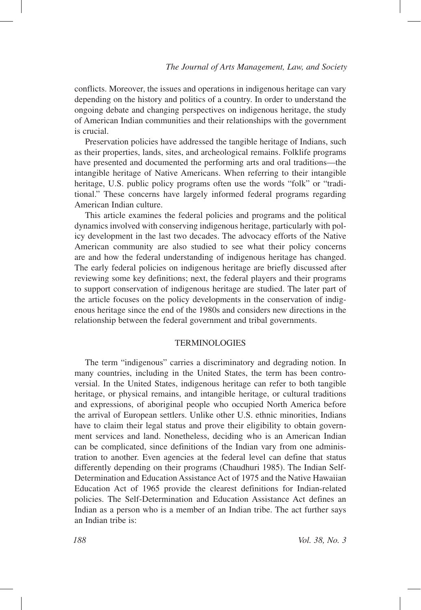conflicts. Moreover, the issues and operations in indigenous heritage can vary depending on the history and politics of a country. In order to understand the ongoing debate and changing perspectives on indigenous heritage, the study of American Indian communities and their relationships with the government is crucial.

Preservation policies have addressed the tangible heritage of Indians, such as their properties, lands, sites, and archeological remains. Folklife programs have presented and documented the performing arts and oral traditions—the intangible heritage of Native Americans. When referring to their intangible heritage, U.S. public policy programs often use the words "folk" or "traditional." These concerns have largely informed federal programs regarding American Indian culture.

This article examines the federal policies and programs and the political dynamics involved with conserving indigenous heritage, particularly with policy development in the last two decades. The advocacy efforts of the Native American community are also studied to see what their policy concerns are and how the federal understanding of indigenous heritage has changed. The early federal policies on indigenous heritage are briefly discussed after reviewing some key definitions; next, the federal players and their programs to support conservation of indigenous heritage are studied. The later part of the article focuses on the policy developments in the conservation of indigenous heritage since the end of the 1980s and considers new directions in the relationship between the federal government and tribal governments.

#### **TERMINOLOGIES**

The term "indigenous" carries a discriminatory and degrading notion. In many countries, including in the United States, the term has been controversial. In the United States, indigenous heritage can refer to both tangible heritage, or physical remains, and intangible heritage, or cultural traditions and expressions, of aboriginal people who occupied North America before the arrival of European settlers. Unlike other U.S. ethnic minorities, Indians have to claim their legal status and prove their eligibility to obtain government services and land. Nonetheless, deciding who is an American Indian can be complicated, since definitions of the Indian vary from one administration to another. Even agencies at the federal level can define that status differently depending on their programs (Chaudhuri 1985). The Indian Self-Determination and Education Assistance Act of 1975 and the Native Hawaiian Education Act of 1965 provide the clearest definitions for Indian-related policies. The Self-Determination and Education Assistance Act defines an Indian as a person who is a member of an Indian tribe. The act further says an Indian tribe is: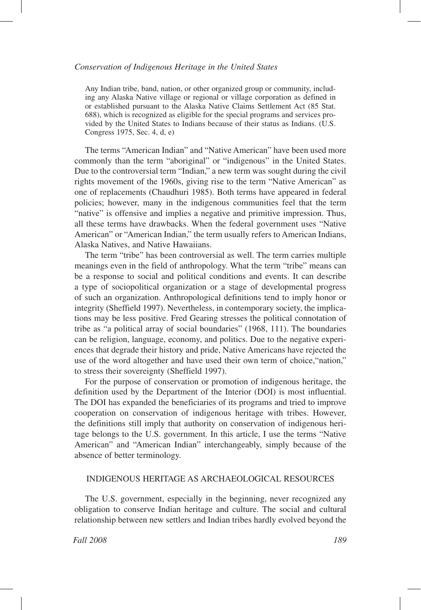Any Indian tribe, band, nation, or other organized group or community, including any Alaska Native village or regional or village corporation as defined in or established pursuant to the Alaska Native Claims Settlement Act (85 Stat. 688), which is recognized as eligible for the special programs and services provided by the United States to Indians because of their status as Indians. (U.S. Congress 1975, Sec. 4, d, e)

The terms "American Indian" and "Native American" have been used more commonly than the term "aboriginal" or "indigenous" in the United States. Due to the controversial term "Indian," a new term was sought during the civil rights movement of the 1960s, giving rise to the term "Native American" as one of replacements (Chaudhuri 1985). Both terms have appeared in federal policies; however, many in the indigenous communities feel that the term "native" is offensive and implies a negative and primitive impression. Thus, all these terms have drawbacks. When the federal government uses "Native American" or "American Indian," the term usually refers to American Indians, Alaska Natives, and Native Hawaiians.

The term "tribe" has been controversial as well. The term carries multiple meanings even in the field of anthropology. What the term "tribe" means can be a response to social and political conditions and events. It can describe a type of sociopolitical organization or a stage of developmental progress of such an organization. Anthropological definitions tend to imply honor or integrity (Sheffield 1997). Nevertheless, in contemporary society, the implications may be less positive. Fred Gearing stresses the political connotation of tribe as "a political array of social boundaries" (1968, 111). The boundaries can be religion, language, economy, and politics. Due to the negative experiences that degrade their history and pride, Native Americans have rejected the use of the word altogether and have used their own term of choice,"nation," to stress their sovereignty (Sheffield 1997).

For the purpose of conservation or promotion of indigenous heritage, the definition used by the Department of the Interior (DOI) is most influential. The DOI has expanded the beneficiaries of its programs and tried to improve cooperation on conservation of indigenous heritage with tribes. However, the definitions still imply that authority on conservation of indigenous heritage belongs to the U.S. government. In this article, I use the terms "Native American" and "American Indian" interchangeably, simply because of the absence of better terminology.

#### INDIGENOUS HERITAGE AS ARCHAEOLOGICAL RESOURCES

The U.S. government, especially in the beginning, never recognized any obligation to conserve Indian heritage and culture. The social and cultural relationship between new settlers and Indian tribes hardly evolved beyond the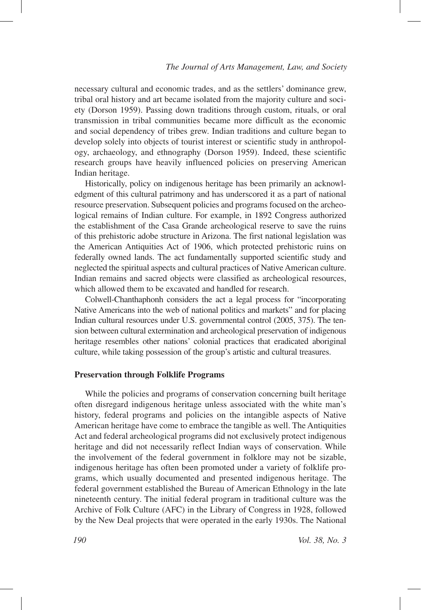#### *The Journal of Arts Management, Law, and Society*

necessary cultural and economic trades, and as the settlers' dominance grew, tribal oral history and art became isolated from the majority culture and society (Dorson 1959). Passing down traditions through custom, rituals, or oral transmission in tribal communities became more difficult as the economic and social dependency of tribes grew. Indian traditions and culture began to develop solely into objects of tourist interest or scientific study in anthropology, archaeology, and ethnography (Dorson 1959). Indeed, these scientific research groups have heavily influenced policies on preserving American Indian heritage.

Historically, policy on indigenous heritage has been primarily an acknowledgment of this cultural patrimony and has underscored it as a part of national resource preservation. Subsequent policies and programs focused on the archeological remains of Indian culture. For example, in 1892 Congress authorized the establishment of the Casa Grande archeological reserve to save the ruins of this prehistoric adobe structure in Arizona. The first national legislation was the American Antiquities Act of 1906, which protected prehistoric ruins on federally owned lands. The act fundamentally supported scientific study and neglected the spiritual aspects and cultural practices of Native American culture. Indian remains and sacred objects were classified as archeological resources, which allowed them to be excavated and handled for research.

Colwell-Chanthaphonh considers the act a legal process for "incorporating Native Americans into the web of national politics and markets" and for placing Indian cultural resources under U.S. governmental control (2005, 375). The tension between cultural extermination and archeological preservation of indigenous heritage resembles other nations' colonial practices that eradicated aboriginal culture, while taking possession of the group's artistic and cultural treasures.

#### **Preservation through Folklife Programs**

While the policies and programs of conservation concerning built heritage often disregard indigenous heritage unless associated with the white man's history, federal programs and policies on the intangible aspects of Native American heritage have come to embrace the tangible as well. The Antiquities Act and federal archeological programs did not exclusively protect indigenous heritage and did not necessarily reflect Indian ways of conservation. While the involvement of the federal government in folklore may not be sizable, indigenous heritage has often been promoted under a variety of folklife programs, which usually documented and presented indigenous heritage. The federal government established the Bureau of American Ethnology in the late nineteenth century. The initial federal program in traditional culture was the Archive of Folk Culture (AFC) in the Library of Congress in 1928, followed by the New Deal projects that were operated in the early 1930s. The National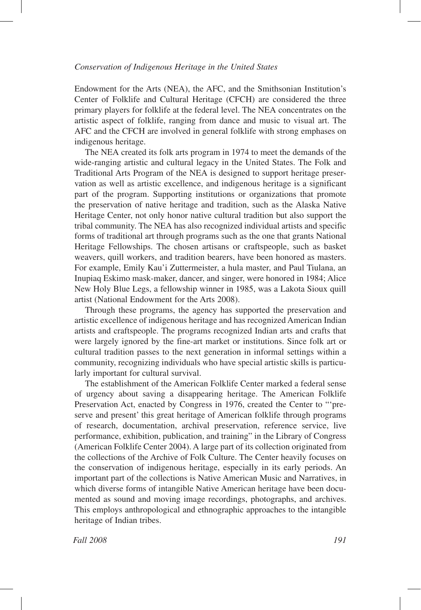Endowment for the Arts (NEA), the AFC, and the Smithsonian Institution's Center of Folklife and Cultural Heritage (CFCH) are considered the three primary players for folklife at the federal level. The NEA concentrates on the artistic aspect of folklife, ranging from dance and music to visual art. The AFC and the CFCH are involved in general folklife with strong emphases on indigenous heritage.

The NEA created its folk arts program in 1974 to meet the demands of the wide-ranging artistic and cultural legacy in the United States. The Folk and Traditional Arts Program of the NEA is designed to support heritage preservation as well as artistic excellence, and indigenous heritage is a significant part of the program. Supporting institutions or organizations that promote the preservation of native heritage and tradition, such as the Alaska Native Heritage Center, not only honor native cultural tradition but also support the tribal community. The NEA has also recognized individual artists and specific forms of traditional art through programs such as the one that grants National Heritage Fellowships. The chosen artisans or craftspeople, such as basket weavers, quill workers, and tradition bearers, have been honored as masters. For example, Emily Kau'i Zuttermeister, a hula master, and Paul Tiulana, an Inupiaq Eskimo mask-maker, dancer, and singer, were honored in 1984; Alice New Holy Blue Legs, a fellowship winner in 1985, was a Lakota Sioux quill artist (National Endowment for the Arts 2008).

Through these programs, the agency has supported the preservation and artistic excellence of indigenous heritage and has recognized American Indian artists and craftspeople. The programs recognized Indian arts and crafts that were largely ignored by the fine-art market or institutions. Since folk art or cultural tradition passes to the next generation in informal settings within a community, recognizing individuals who have special artistic skills is particularly important for cultural survival.

The establishment of the American Folklife Center marked a federal sense of urgency about saving a disappearing heritage. The American Folklife Preservation Act, enacted by Congress in 1976, created the Center to "'preserve and present' this great heritage of American folklife through programs of research, documentation, archival preservation, reference service, live performance, exhibition, publication, and training" in the Library of Congress (American Folklife Center 2004). A large part of its collection originated from the collections of the Archive of Folk Culture. The Center heavily focuses on the conservation of indigenous heritage, especially in its early periods. An important part of the collections is Native American Music and Narratives, in which diverse forms of intangible Native American heritage have been documented as sound and moving image recordings, photographs, and archives. This employs anthropological and ethnographic approaches to the intangible heritage of Indian tribes.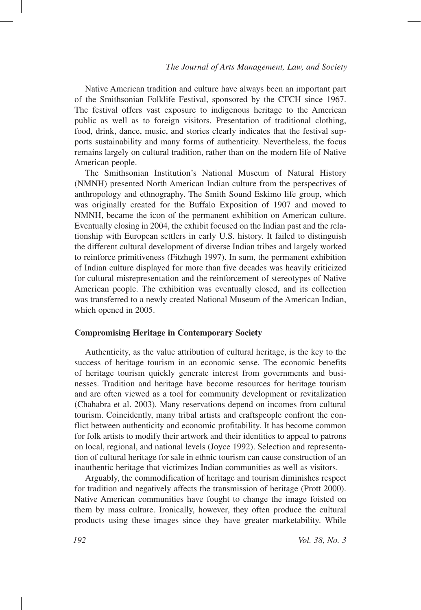Native American tradition and culture have always been an important part of the Smithsonian Folklife Festival, sponsored by the CFCH since 1967. The festival offers vast exposure to indigenous heritage to the American public as well as to foreign visitors. Presentation of traditional clothing, food, drink, dance, music, and stories clearly indicates that the festival supports sustainability and many forms of authenticity. Nevertheless, the focus remains largely on cultural tradition, rather than on the modern life of Native American people.

The Smithsonian Institution's National Museum of Natural History (NMNH) presented North American Indian culture from the perspectives of anthropology and ethnography. The Smith Sound Eskimo life group, which was originally created for the Buffalo Exposition of 1907 and moved to NMNH, became the icon of the permanent exhibition on American culture. Eventually closing in 2004, the exhibit focused on the Indian past and the relationship with European settlers in early U.S. history. It failed to distinguish the different cultural development of diverse Indian tribes and largely worked to reinforce primitiveness (Fitzhugh 1997). In sum, the permanent exhibition of Indian culture displayed for more than five decades was heavily criticized for cultural misrepresentation and the reinforcement of stereotypes of Native American people. The exhibition was eventually closed, and its collection was transferred to a newly created National Museum of the American Indian, which opened in 2005.

#### **Compromising Heritage in Contemporary Society**

Authenticity, as the value attribution of cultural heritage, is the key to the success of heritage tourism in an economic sense. The economic benefits of heritage tourism quickly generate interest from governments and businesses. Tradition and heritage have become resources for heritage tourism and are often viewed as a tool for community development or revitalization (Chahabra et al. 2003). Many reservations depend on incomes from cultural tourism. Coincidently, many tribal artists and craftspeople confront the conflict between authenticity and economic profitability. It has become common for folk artists to modify their artwork and their identities to appeal to patrons on local, regional, and national levels (Joyce 1992). Selection and representation of cultural heritage for sale in ethnic tourism can cause construction of an inauthentic heritage that victimizes Indian communities as well as visitors.

Arguably, the commodification of heritage and tourism diminishes respect for tradition and negatively affects the transmission of heritage (Prott 2000). Native American communities have fought to change the image foisted on them by mass culture. Ironically, however, they often produce the cultural products using these images since they have greater marketability. While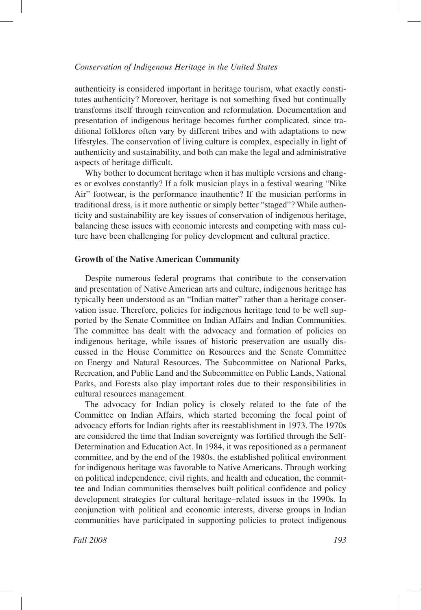authenticity is considered important in heritage tourism, what exactly constitutes authenticity? Moreover, heritage is not something fixed but continually transforms itself through reinvention and reformulation. Documentation and presentation of indigenous heritage becomes further complicated, since traditional folklores often vary by different tribes and with adaptations to new lifestyles. The conservation of living culture is complex, especially in light of authenticity and sustainability, and both can make the legal and administrative aspects of heritage difficult.

Why bother to document heritage when it has multiple versions and changes or evolves constantly? If a folk musician plays in a festival wearing "Nike Air" footwear, is the performance inauthentic? If the musician performs in traditional dress, is it more authentic or simply better "staged"? While authenticity and sustainability are key issues of conservation of indigenous heritage, balancing these issues with economic interests and competing with mass culture have been challenging for policy development and cultural practice.

#### **Growth of the Native American Community**

Despite numerous federal programs that contribute to the conservation and presentation of Native American arts and culture, indigenous heritage has typically been understood as an "Indian matter" rather than a heritage conservation issue. Therefore, policies for indigenous heritage tend to be well supported by the Senate Committee on Indian Affairs and Indian Communities. The committee has dealt with the advocacy and formation of policies on indigenous heritage, while issues of historic preservation are usually discussed in the House Committee on Resources and the Senate Committee on Energy and Natural Resources. The Subcommittee on National Parks, Recreation, and Public Land and the Subcommittee on Public Lands, National Parks, and Forests also play important roles due to their responsibilities in cultural resources management.

The advocacy for Indian policy is closely related to the fate of the Committee on Indian Affairs, which started becoming the focal point of advocacy efforts for Indian rights after its reestablishment in 1973. The 1970s are considered the time that Indian sovereignty was fortified through the Self-Determination and Education Act. In 1984, it was repositioned as a permanent committee, and by the end of the 1980s, the established political environment for indigenous heritage was favorable to Native Americans. Through working on political independence, civil rights, and health and education, the committee and Indian communities themselves built political confidence and policy development strategies for cultural heritage–related issues in the 1990s. In conjunction with political and economic interests, diverse groups in Indian communities have participated in supporting policies to protect indigenous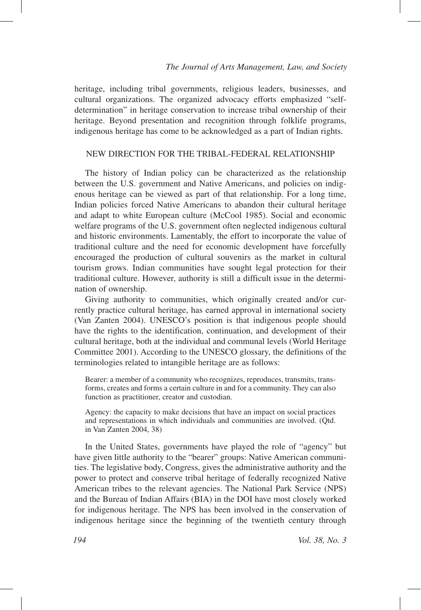heritage, including tribal governments, religious leaders, businesses, and cultural organizations. The organized advocacy efforts emphasized "selfdetermination" in heritage conservation to increase tribal ownership of their heritage. Beyond presentation and recognition through folklife programs, indigenous heritage has come to be acknowledged as a part of Indian rights.

#### NEW DIRECTION FOR THE TRIBAL-FEDERAL RELATIONSHIP

The history of Indian policy can be characterized as the relationship between the U.S. government and Native Americans, and policies on indigenous heritage can be viewed as part of that relationship. For a long time, Indian policies forced Native Americans to abandon their cultural heritage and adapt to white European culture (McCool 1985). Social and economic welfare programs of the U.S. government often neglected indigenous cultural and historic environments. Lamentably, the effort to incorporate the value of traditional culture and the need for economic development have forcefully encouraged the production of cultural souvenirs as the market in cultural tourism grows. Indian communities have sought legal protection for their traditional culture. However, authority is still a difficult issue in the determination of ownership.

Giving authority to communities, which originally created and/or currently practice cultural heritage, has earned approval in international society (Van Zanten 2004). UNESCO's position is that indigenous people should have the rights to the identification, continuation, and development of their cultural heritage, both at the individual and communal levels (World Heritage Committee 2001). According to the UNESCO glossary, the definitions of the terminologies related to intangible heritage are as follows:

Bearer: a member of a community who recognizes, reproduces, transmits, transforms, creates and forms a certain culture in and for a community. They can also function as practitioner, creator and custodian.

Agency: the capacity to make decisions that have an impact on social practices and representations in which individuals and communities are involved. (Qtd. in Van Zanten 2004, 38)

In the United States, governments have played the role of "agency" but have given little authority to the "bearer" groups: Native American communities. The legislative body, Congress, gives the administrative authority and the power to protect and conserve tribal heritage of federally recognized Native American tribes to the relevant agencies. The National Park Service (NPS) and the Bureau of Indian Affairs (BIA) in the DOI have most closely worked for indigenous heritage. The NPS has been involved in the conservation of indigenous heritage since the beginning of the twentieth century through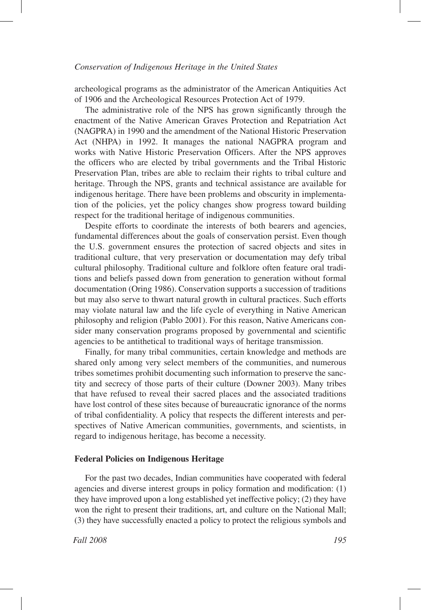archeological programs as the administrator of the American Antiquities Act of 1906 and the Archeological Resources Protection Act of 1979.

The administrative role of the NPS has grown significantly through the enactment of the Native American Graves Protection and Repatriation Act (NAGPRA) in 1990 and the amendment of the National Historic Preservation Act (NHPA) in 1992. It manages the national NAGPRA program and works with Native Historic Preservation Officers. After the NPS approves the officers who are elected by tribal governments and the Tribal Historic Preservation Plan, tribes are able to reclaim their rights to tribal culture and heritage. Through the NPS, grants and technical assistance are available for indigenous heritage. There have been problems and obscurity in implementation of the policies, yet the policy changes show progress toward building respect for the traditional heritage of indigenous communities.

Despite efforts to coordinate the interests of both bearers and agencies, fundamental differences about the goals of conservation persist. Even though the U.S. government ensures the protection of sacred objects and sites in traditional culture, that very preservation or documentation may defy tribal cultural philosophy. Traditional culture and folklore often feature oral traditions and beliefs passed down from generation to generation without formal documentation (Oring 1986). Conservation supports a succession of traditions but may also serve to thwart natural growth in cultural practices. Such efforts may violate natural law and the life cycle of everything in Native American philosophy and religion (Pablo 2001). For this reason, Native Americans consider many conservation programs proposed by governmental and scientific agencies to be antithetical to traditional ways of heritage transmission.

Finally, for many tribal communities, certain knowledge and methods are shared only among very select members of the communities, and numerous tribes sometimes prohibit documenting such information to preserve the sanctity and secrecy of those parts of their culture (Downer 2003). Many tribes that have refused to reveal their sacred places and the associated traditions have lost control of these sites because of bureaucratic ignorance of the norms of tribal confidentiality. A policy that respects the different interests and perspectives of Native American communities, governments, and scientists, in regard to indigenous heritage, has become a necessity.

#### **Federal Policies on Indigenous Heritage**

For the past two decades, Indian communities have cooperated with federal agencies and diverse interest groups in policy formation and modification: (1) they have improved upon a long established yet ineffective policy; (2) they have won the right to present their traditions, art, and culture on the National Mall; (3) they have successfully enacted a policy to protect the religious symbols and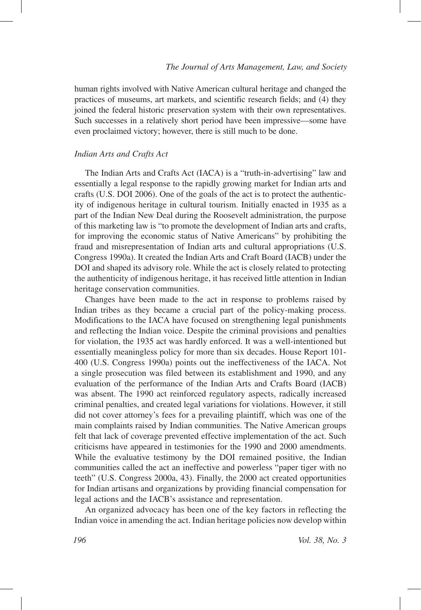human rights involved with Native American cultural heritage and changed the practices of museums, art markets, and scientific research fields; and (4) they joined the federal historic preservation system with their own representatives. Such successes in a relatively short period have been impressive—some have even proclaimed victory; however, there is still much to be done.

#### *Indian Arts and Crafts Act*

The Indian Arts and Crafts Act (IACA) is a "truth-in-advertising" law and essentially a legal response to the rapidly growing market for Indian arts and crafts (U.S. DOI 2006). One of the goals of the act is to protect the authenticity of indigenous heritage in cultural tourism. Initially enacted in 1935 as a part of the Indian New Deal during the Roosevelt administration, the purpose of this marketing law is "to promote the development of Indian arts and crafts, for improving the economic status of Native Americans" by prohibiting the fraud and misrepresentation of Indian arts and cultural appropriations (U.S. Congress 1990a). It created the Indian Arts and Craft Board (IACB) under the DOI and shaped its advisory role. While the act is closely related to protecting the authenticity of indigenous heritage, it has received little attention in Indian heritage conservation communities.

Changes have been made to the act in response to problems raised by Indian tribes as they became a crucial part of the policy-making process. Modifications to the IACA have focused on strengthening legal punishments and reflecting the Indian voice. Despite the criminal provisions and penalties for violation, the 1935 act was hardly enforced. It was a well-intentioned but essentially meaningless policy for more than six decades. House Report 101- 400 (U.S. Congress 1990a) points out the ineffectiveness of the IACA. Not a single prosecution was filed between its establishment and 1990, and any evaluation of the performance of the Indian Arts and Crafts Board (IACB) was absent. The 1990 act reinforced regulatory aspects, radically increased criminal penalties, and created legal variations for violations. However, it still did not cover attorney's fees for a prevailing plaintiff, which was one of the main complaints raised by Indian communities. The Native American groups felt that lack of coverage prevented effective implementation of the act. Such criticisms have appeared in testimonies for the 1990 and 2000 amendments. While the evaluative testimony by the DOI remained positive, the Indian communities called the act an ineffective and powerless "paper tiger with no teeth" (U.S. Congress 2000a, 43). Finally, the 2000 act created opportunities for Indian artisans and organizations by providing financial compensation for legal actions and the IACB's assistance and representation.

An organized advocacy has been one of the key factors in reflecting the Indian voice in amending the act. Indian heritage policies now develop within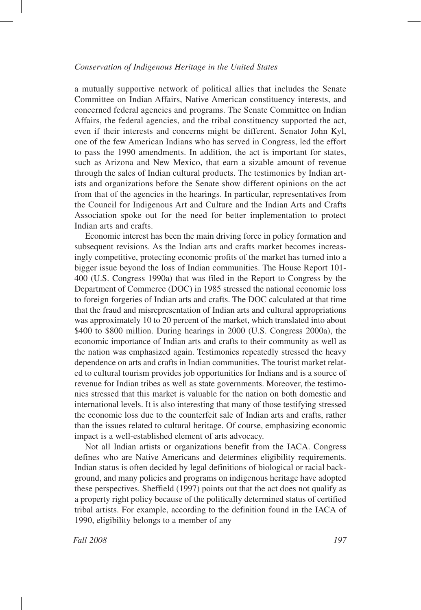a mutually supportive network of political allies that includes the Senate Committee on Indian Affairs, Native American constituency interests, and concerned federal agencies and programs. The Senate Committee on Indian Affairs, the federal agencies, and the tribal constituency supported the act, even if their interests and concerns might be different. Senator John Kyl, one of the few American Indians who has served in Congress, led the effort to pass the 1990 amendments. In addition, the act is important for states, such as Arizona and New Mexico, that earn a sizable amount of revenue through the sales of Indian cultural products. The testimonies by Indian artists and organizations before the Senate show different opinions on the act from that of the agencies in the hearings. In particular, representatives from the Council for Indigenous Art and Culture and the Indian Arts and Crafts Association spoke out for the need for better implementation to protect Indian arts and crafts.

Economic interest has been the main driving force in policy formation and subsequent revisions. As the Indian arts and crafts market becomes increasingly competitive, protecting economic profits of the market has turned into a bigger issue beyond the loss of Indian communities. The House Report 101- 400 (U.S. Congress 1990a) that was filed in the Report to Congress by the Department of Commerce (DOC) in 1985 stressed the national economic loss to foreign forgeries of Indian arts and crafts. The DOC calculated at that time that the fraud and misrepresentation of Indian arts and cultural appropriations was approximately 10 to 20 percent of the market, which translated into about \$400 to \$800 million. During hearings in 2000 (U.S. Congress 2000a), the economic importance of Indian arts and crafts to their community as well as the nation was emphasized again. Testimonies repeatedly stressed the heavy dependence on arts and crafts in Indian communities. The tourist market related to cultural tourism provides job opportunities for Indians and is a source of revenue for Indian tribes as well as state governments. Moreover, the testimonies stressed that this market is valuable for the nation on both domestic and international levels. It is also interesting that many of those testifying stressed the economic loss due to the counterfeit sale of Indian arts and crafts, rather than the issues related to cultural heritage. Of course, emphasizing economic impact is a well-established element of arts advocacy.

Not all Indian artists or organizations benefit from the IACA. Congress defines who are Native Americans and determines eligibility requirements. Indian status is often decided by legal definitions of biological or racial background, and many policies and programs on indigenous heritage have adopted these perspectives. Sheffield (1997) points out that the act does not qualify as a property right policy because of the politically determined status of certified tribal artists. For example, according to the definition found in the IACA of 1990, eligibility belongs to a member of any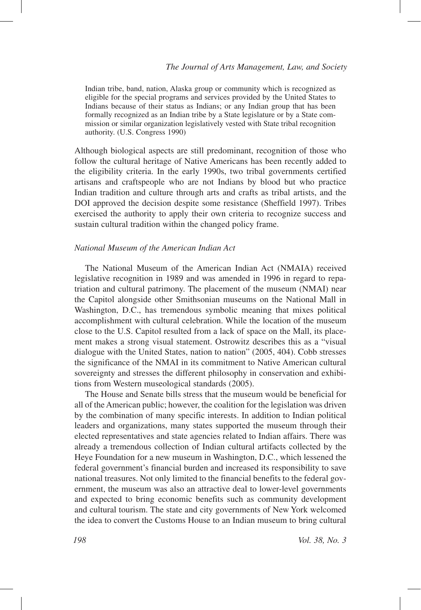Indian tribe, band, nation, Alaska group or community which is recognized as eligible for the special programs and services provided by the United States to Indians because of their status as Indians; or any Indian group that has been formally recognized as an Indian tribe by a State legislature or by a State commission or similar organization legislatively vested with State tribal recognition authority. (U.S. Congress 1990)

Although biological aspects are still predominant, recognition of those who follow the cultural heritage of Native Americans has been recently added to the eligibility criteria. In the early 1990s, two tribal governments certified artisans and craftspeople who are not Indians by blood but who practice Indian tradition and culture through arts and crafts as tribal artists, and the DOI approved the decision despite some resistance (Sheffield 1997). Tribes exercised the authority to apply their own criteria to recognize success and sustain cultural tradition within the changed policy frame.

#### *National Museum of the American Indian Act*

The National Museum of the American Indian Act (NMAIA) received legislative recognition in 1989 and was amended in 1996 in regard to repatriation and cultural patrimony. The placement of the museum (NMAI) near the Capitol alongside other Smithsonian museums on the National Mall in Washington, D.C., has tremendous symbolic meaning that mixes political accomplishment with cultural celebration. While the location of the museum close to the U.S. Capitol resulted from a lack of space on the Mall, its placement makes a strong visual statement. Ostrowitz describes this as a "visual dialogue with the United States, nation to nation" (2005, 404). Cobb stresses the significance of the NMAI in its commitment to Native American cultural sovereignty and stresses the different philosophy in conservation and exhibitions from Western museological standards (2005).

The House and Senate bills stress that the museum would be beneficial for all of the American public; however, the coalition for the legislation was driven by the combination of many specific interests. In addition to Indian political leaders and organizations, many states supported the museum through their elected representatives and state agencies related to Indian affairs. There was already a tremendous collection of Indian cultural artifacts collected by the Heye Foundation for a new museum in Washington, D.C., which lessened the federal government's financial burden and increased its responsibility to save national treasures. Not only limited to the financial benefits to the federal government, the museum was also an attractive deal to lower-level governments and expected to bring economic benefits such as community development and cultural tourism. The state and city governments of New York welcomed the idea to convert the Customs House to an Indian museum to bring cultural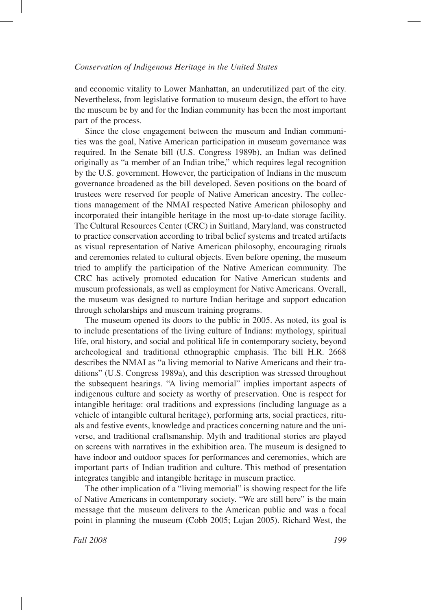and economic vitality to Lower Manhattan, an underutilized part of the city. Nevertheless, from legislative formation to museum design, the effort to have the museum be by and for the Indian community has been the most important part of the process.

Since the close engagement between the museum and Indian communities was the goal, Native American participation in museum governance was required. In the Senate bill (U.S. Congress 1989b), an Indian was defined originally as "a member of an Indian tribe," which requires legal recognition by the U.S. government. However, the participation of Indians in the museum governance broadened as the bill developed. Seven positions on the board of trustees were reserved for people of Native American ancestry. The collections management of the NMAI respected Native American philosophy and incorporated their intangible heritage in the most up-to-date storage facility. The Cultural Resources Center (CRC) in Suitland, Maryland, was constructed to practice conservation according to tribal belief systems and treated artifacts as visual representation of Native American philosophy, encouraging rituals and ceremonies related to cultural objects. Even before opening, the museum tried to amplify the participation of the Native American community. The CRC has actively promoted education for Native American students and museum professionals, as well as employment for Native Americans. Overall, the museum was designed to nurture Indian heritage and support education through scholarships and museum training programs.

The museum opened its doors to the public in 2005. As noted, its goal is to include presentations of the living culture of Indians: mythology, spiritual life, oral history, and social and political life in contemporary society, beyond archeological and traditional ethnographic emphasis. The bill H.R. 2668 describes the NMAI as "a living memorial to Native Americans and their traditions" (U.S. Congress 1989a), and this description was stressed throughout the subsequent hearings. "A living memorial" implies important aspects of indigenous culture and society as worthy of preservation. One is respect for intangible heritage: oral traditions and expressions (including language as a vehicle of intangible cultural heritage), performing arts, social practices, rituals and festive events, knowledge and practices concerning nature and the universe, and traditional craftsmanship. Myth and traditional stories are played on screens with narratives in the exhibition area. The museum is designed to have indoor and outdoor spaces for performances and ceremonies, which are important parts of Indian tradition and culture. This method of presentation integrates tangible and intangible heritage in museum practice.

The other implication of a "living memorial" is showing respect for the life of Native Americans in contemporary society. "We are still here" is the main message that the museum delivers to the American public and was a focal point in planning the museum (Cobb 2005; Lujan 2005). Richard West, the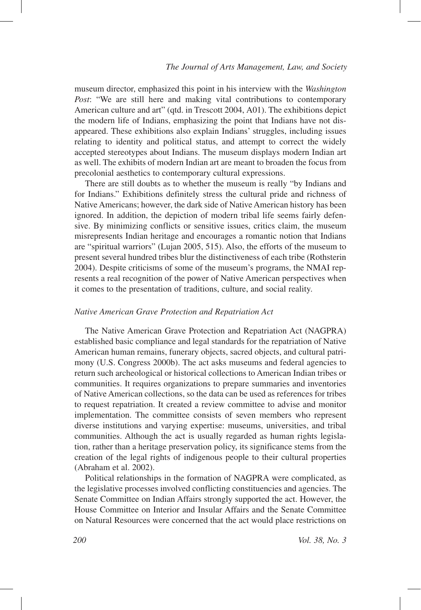#### *The Journal of Arts Management, Law, and Society*

museum director, emphasized this point in his interview with the *Washington Post*: "We are still here and making vital contributions to contemporary American culture and art" (qtd. in Trescott 2004, A01). The exhibitions depict the modern life of Indians, emphasizing the point that Indians have not disappeared. These exhibitions also explain Indians' struggles, including issues relating to identity and political status, and attempt to correct the widely accepted stereotypes about Indians. The museum displays modern Indian art as well. The exhibits of modern Indian art are meant to broaden the focus from precolonial aesthetics to contemporary cultural expressions.

There are still doubts as to whether the museum is really "by Indians and for Indians." Exhibitions definitely stress the cultural pride and richness of Native Americans; however, the dark side of Native American history has been ignored. In addition, the depiction of modern tribal life seems fairly defensive. By minimizing conflicts or sensitive issues, critics claim, the museum misrepresents Indian heritage and encourages a romantic notion that Indians are "spiritual warriors" (Lujan 2005, 515). Also, the efforts of the museum to present several hundred tribes blur the distinctiveness of each tribe (Rothsterin 2004). Despite criticisms of some of the museum's programs, the NMAI represents a real recognition of the power of Native American perspectives when it comes to the presentation of traditions, culture, and social reality.

#### *Native American Grave Protection and Repatriation Act*

The Native American Grave Protection and Repatriation Act (NAGPRA) established basic compliance and legal standards for the repatriation of Native American human remains, funerary objects, sacred objects, and cultural patrimony (U.S. Congress 2000b). The act asks museums and federal agencies to return such archeological or historical collections to American Indian tribes or communities. It requires organizations to prepare summaries and inventories of Native American collections, so the data can be used as references for tribes to request repatriation. It created a review committee to advise and monitor implementation. The committee consists of seven members who represent diverse institutions and varying expertise: museums, universities, and tribal communities. Although the act is usually regarded as human rights legislation, rather than a heritage preservation policy, its significance stems from the creation of the legal rights of indigenous people to their cultural properties (Abraham et al. 2002).

Political relationships in the formation of NAGPRA were complicated, as the legislative processes involved conflicting constituencies and agencies. The Senate Committee on Indian Affairs strongly supported the act. However, the House Committee on Interior and Insular Affairs and the Senate Committee on Natural Resources were concerned that the act would place restrictions on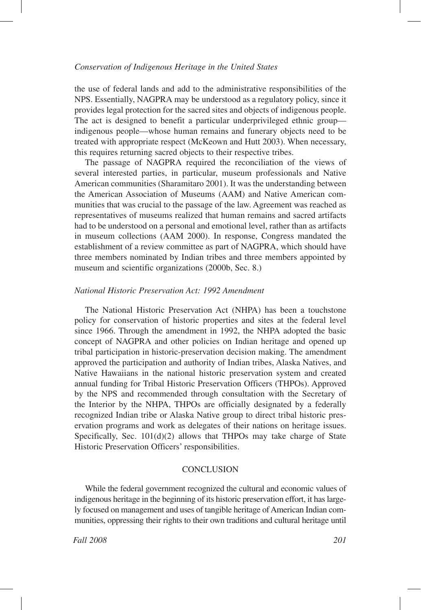the use of federal lands and add to the administrative responsibilities of the NPS. Essentially, NAGPRA may be understood as a regulatory policy, since it provides legal protection for the sacred sites and objects of indigenous people. The act is designed to benefit a particular underprivileged ethnic group indigenous people—whose human remains and funerary objects need to be treated with appropriate respect (McKeown and Hutt 2003). When necessary, this requires returning sacred objects to their respective tribes.

The passage of NAGPRA required the reconciliation of the views of several interested parties, in particular, museum professionals and Native American communities (Sharamitaro 2001). It was the understanding between the American Association of Museums (AAM) and Native American communities that was crucial to the passage of the law. Agreement was reached as representatives of museums realized that human remains and sacred artifacts had to be understood on a personal and emotional level, rather than as artifacts in museum collections (AAM 2000). In response, Congress mandated the establishment of a review committee as part of NAGPRA, which should have three members nominated by Indian tribes and three members appointed by museum and scientific organizations (2000b, Sec. 8.)

#### *National Historic Preservation Act: 1992 Amendment*

The National Historic Preservation Act (NHPA) has been a touchstone policy for conservation of historic properties and sites at the federal level since 1966. Through the amendment in 1992, the NHPA adopted the basic concept of NAGPRA and other policies on Indian heritage and opened up tribal participation in historic-preservation decision making. The amendment approved the participation and authority of Indian tribes, Alaska Natives, and Native Hawaiians in the national historic preservation system and created annual funding for Tribal Historic Preservation Officers (THPOs). Approved by the NPS and recommended through consultation with the Secretary of the Interior by the NHPA, THPOs are officially designated by a federally recognized Indian tribe or Alaska Native group to direct tribal historic preservation programs and work as delegates of their nations on heritage issues. Specifically, Sec. 101(d)(2) allows that THPOs may take charge of State Historic Preservation Officers' responsibilities.

#### **CONCLUSION**

While the federal government recognized the cultural and economic values of indigenous heritage in the beginning of its historic preservation effort, it has largely focused on management and uses of tangible heritage of American Indian communities, oppressing their rights to their own traditions and cultural heritage until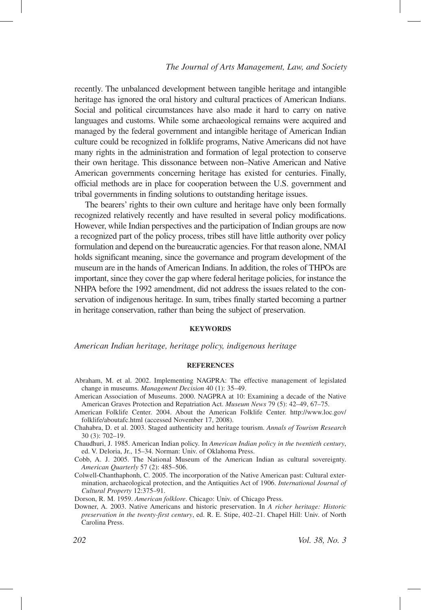#### *The Journal of Arts Management, Law, and Society*

recently. The unbalanced development between tangible heritage and intangible heritage has ignored the oral history and cultural practices of American Indians. Social and political circumstances have also made it hard to carry on native languages and customs. While some archaeological remains were acquired and managed by the federal government and intangible heritage of American Indian culture could be recognized in folklife programs, Native Americans did not have many rights in the administration and formation of legal protection to conserve their own heritage. This dissonance between non–Native American and Native American governments concerning heritage has existed for centuries. Finally, official methods are in place for cooperation between the U.S. government and tribal governments in finding solutions to outstanding heritage issues.

The bearers' rights to their own culture and heritage have only been formally recognized relatively recently and have resulted in several policy modifications. However, while Indian perspectives and the participation of Indian groups are now a recognized part of the policy process, tribes still have little authority over policy formulation and depend on the bureaucratic agencies. For that reason alone, NMAI holds significant meaning, since the governance and program development of the museum are in the hands of American Indians. In addition, the roles of THPOs are important, since they cover the gap where federal heritage policies, for instance the NHPA before the 1992 amendment, did not address the issues related to the conservation of indigenous heritage. In sum, tribes finally started becoming a partner in heritage conservation, rather than being the subject of preservation.

#### **KEYWORDS**

*American Indian heritage, heritage policy, indigenous heritage*

#### **REFERENCES**

- Abraham, M. et al. 2002. Implementing NAGPRA: The effective management of legislated change in museums. *Management Decision* 40 (1): 35–49.
- American Association of Museums. 2000. NAGPRA at 10: Examining a decade of the Native American Graves Protection and Repatriation Act. *Museum News* 79 (5): 42–49, 67–75.
- American Folklife Center. 2004. About the American Folklife Center. http://www.loc.gov/ folklife/aboutafc.html (accessed November 17, 2008).
- Chahabra, D. et al. 2003. Staged authenticity and heritage tourism. *Annals of Tourism Research* 30 (3): 702–19.
- Chaudhuri, J. 1985. American Indian policy. In *American Indian policy in the twentieth century*, ed. V. Deloria, Jr., 15–34. Norman: Univ. of Oklahoma Press.
- Cobb, A. J. 2005. The National Museum of the American Indian as cultural sovereignty. *American Quarterly* 57 (2): 485–506.
- Colwell-Chanthaphonh, C. 2005. The incorporation of the Native American past: Cultural extermination, archaeological protection, and the Antiquities Act of 1906. *International Journal of Cultural Property* 12:375–91.

Dorson, R. M. 1959. *American folklore*. Chicago: Univ. of Chicago Press.

Downer, A. 2003. Native Americans and historic preservation. In *A richer heritage: Historic preservation in the twenty-first century*, ed. R. E. Stipe, 402–21. Chapel Hill: Univ. of North Carolina Press.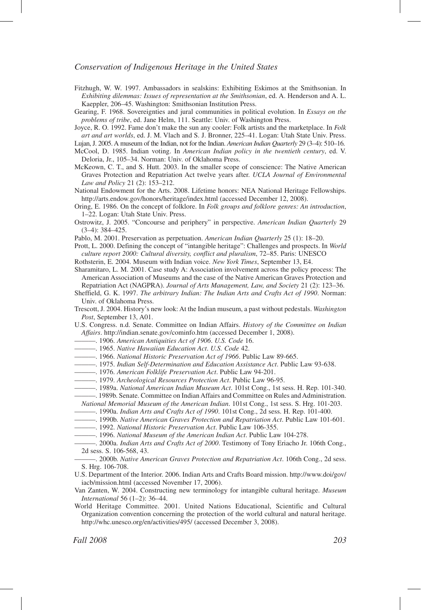- Fitzhugh, W. W. 1997. Ambassadors in sealskins: Exhibiting Eskimos at the Smithsonian. In *Exhibiting dilemmas: Issues of representation at the Smithsonian*, ed. A. Henderson and A. L. Kaeppler, 206–45. Washington: Smithsonian Institution Press.
- Gearing, F. 1968. Sovereignties and jural communities in political evolution. In *Essays on the problems of tribe*, ed. Jane Helm, 111. Seattle: Univ. of Washington Press.
- Joyce, R. O. 1992. Fame don't make the sun any cooler: Folk artists and the marketplace. In *Folk art and art worlds*, ed. J. M. Vlach and S. J. Bronner, 225–41. Logan: Utah State Univ. Press.
- Lujan, J. 2005. A museum of the Indian, not for the Indian. *American Indian Quarterly* 29 (3–4): 510–16.
- McCool, D. 1985. Indian voting. In *American Indian policy in the twentieth century*, ed. V. Deloria, Jr., 105–34. Norman: Univ. of Oklahoma Press.
- McKeown, C. T., and S. Hutt. 2003. In the smaller scope of conscience: The Native American Graves Protection and Repatriation Act twelve years after. *UCLA Journal of Environmental Law and Policy* 21 (2): 153–212.
- National Endowment for the Arts. 2008. Lifetime honors: NEA National Heritage Fellowships. http://arts.endow.gov/honors/heritage/index.html (accessed December 12, 2008).
- Oring, E. 1986. On the concept of folklore. In *Folk groups and folklore genres: An introduction*, 1–22. Logan: Utah State Univ. Press.
- Ostrowitz, J. 2005. "Concourse and periphery" in perspective. *American Indian Quarterly* 29 (3–4): 384–425.
- Pablo, M. 2001. Preservation as perpetuation. *American Indian Quarterly* 25 (1): 18–20.
- Prott, L. 2000. Defining the concept of "intangible heritage": Challenges and prospects. In *World culture report 2000: Cultural diversity, conflict and pluralism*, 72–85. Paris: UNESCO
- Rothsterin, E. 2004. Museum with Indian voice. *New York Times*, September 13, E4.
- Sharamitaro, L. M. 2001. Case study A: Association involvement across the policy process: The American Association of Museums and the case of the Native American Graves Protection and Repatriation Act (NAGPRA). *Journal of Arts Management, Law, and Society* 21 (2): 123–36.
- Sheffield, G. K. 1997. *The arbitrary Indian: The Indian Arts and Crafts Act of 1990*. Norman: Univ. of Oklahoma Press.
- Trescott, J. 2004. History's new look: At the Indian museum, a past without pedestals. *Washington Post*, September 13, A01.
- U.S. Congress. n.d. Senate. Committee on Indian Affairs. *History of the Committee on Indian Affairs*. http://indian.senate.gov/cominfo.htm (accessed December 1, 2008).
- ———. 1906. *American Antiquities Act of 1906*. *U.S. Code* 16.
- ———. 1965. *Native Hawaiian Education Act*. *U.S. Code* 42.
- ———. 1966. *National Historic Preservation Act of 1966*. Public Law 89-665.
- ———. 1975. *Indian Self-Determination and Education Assistance Act*. Public Law 93-638.
- ———. 1976. *American Folklife Preservation Act*. Public Law 94-201.
- ———. 1979. *Archeological Resources Protection Act*. Public Law 96-95.
- ———. 1989a. *National American Indian Museum Act*. 101st Cong., 1st sess. H. Rep. 101-340.
- ———. 1989b. Senate. Committee on Indian Affairs and Committee on Rules and Administration.
- *National Memorial Museum of the American Indian*. 101st Cong., 1st sess. S. Hrg. 101-203. ———. 1990a. *Indian Arts and Crafts Act of 1990*. 101st Cong., 2d sess. H. Rep. 101-400.
- 
- ———. 1990b. *Native American Graves Protection and Repatriation Act*. Public Law 101-601.
- ———. 1992. *National Historic Preservation Act*. Public Law 106-355.
- ———. 1996. *National Museum of the American Indian Act*. Public Law 104-278.
- ———. 2000a. *Indian Arts and Crafts Act of 2000*. Testimony of Tony Eriacho Jr. 106th Cong., 2d sess. S. 106-568, 43.

———. 2000b. *Native American Graves Protection and Repatriation Act*. 106th Cong., 2d sess. S. Hrg. 106-708.

- U.S. Department of the Interior. 2006. Indian Arts and Crafts Board mission. http://www.doi/gov/ iacb/mission.html (accessed November 17, 2006).
- Van Zanten, W. 2004. Constructing new terminology for intangible cultural heritage. *Museum International* 56 (1–2): 36–44.
- World Heritage Committee. 2001. United Nations Educational, Scientific and Cultural Organization convention concerning the protection of the world cultural and natural heritage. http://whc.unesco.org/en/activities/495/ (accessed December 3, 2008).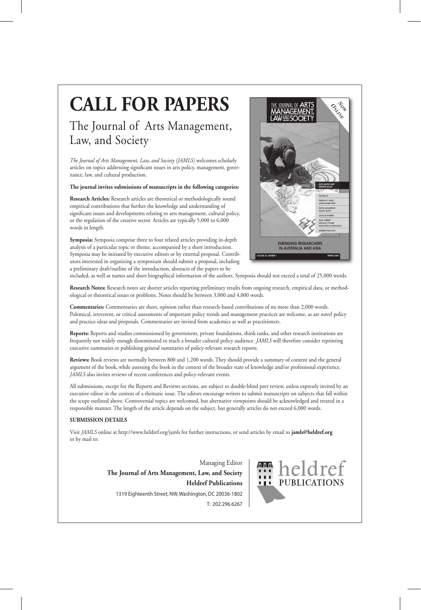# **CALL FOR PAPERS**

### The Journal of Arts Management, Law, and Society

The Journal of Arts Management, Law, and Society (JAMLS) welcomes scholarly articles on topics addressing significant issues in arts policy, management, governance, law, and cultural production.

The journal invites submissions of manuscripts in the following categories:

Research Articles: Research articles are theoretical or methodologically sound empirical contributions that further the knowledge and understanding of significant issues and developments relating to arts management, cultural policy, or the regulation of the creative sector. Articles are typically 5,000 to 6,000 words in length.

Symposia: Symposia comprise three to four related articles providing in-depth analysis of a particular topic or theme, accompanied by a short introduction. Symposia may be initiated by executive editors or by external proposal. Contributors interested in organizing a symposium should submit a proposal, including a preliminary draft/outline of the introduction, abstracts of the papers to be



included, as well as names and short biographical information of the authors. Symposia should not exceed a total of 25,000 words.

Research Notes: Research notes are shorter articles reporting preliminary results from ongoing research, empirical data, or methodological or theoretical issues or problems. Notes should be between 3,000 and 4,000 words.

Commentaries: Commentaries are short, opinion rather than research-based contributions of no more than 2,000 words. Polemical, irreverent, or critical assessments of important policy trends and management practices are welcome, as are novel policy and practice ideas and proposals. Commentaries are invited from academics as well as practitioners.

Reports: Reports and studies commissioned by government, private foundations, think tanks, and other research institutions are frequently not widely enough disseminated to reach a broader cultural policy audience. JAMLS will therefore consider reprinting executive summaries or publishing general summaries of policy-relevant research reports.

Reviews: Book reviews are normally between 800 and 1,200 words. They should provide a summary of content and the general argument of the book, while assessing the book in the context of the broader state of knowledge and/or professional experience. JAMLS also invites reviews of recent conferences and policy-relevant events.

All submissions, except for the Reports and Reviews sections, are subject to double-blind peer review, unless expressly invited by an executive editor in the context of a thematic issue. The editors encourage writers to submit manuscripts on subjects that fall within the scope outlined above. Controversial topics are welcomed, but alternative viewpoints should be acknowledged and treated in a responsible manner. The length of the article depends on the subject, but generally articles do not exceed 6,000 words.

#### SUBMISSION DETAILS

Visit JAMLS online at http://www.heldref.org/jamls for further instructions, or send articles by email to jamls@heldref.org or by mail to:

> Managing Editor The Journal of Arts Management, Law, and Society **Heldref Publications** 1319 Eighteenth Street, NW, Washington, DC 20036-1802 T: 202.296.6267